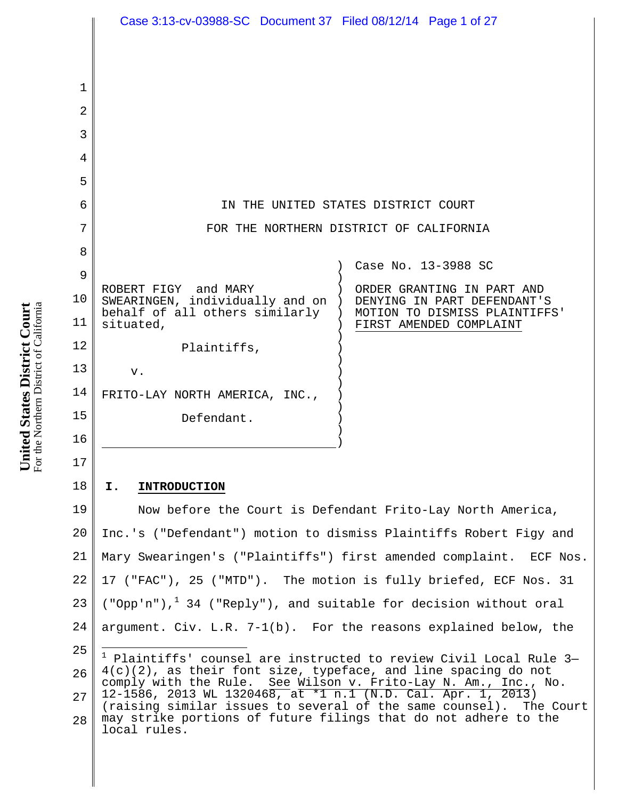|             | Case 3:13-cv-03988-SC Document 37 Filed 08/12/14 Page 1 of 27                                                                      |  |  |
|-------------|------------------------------------------------------------------------------------------------------------------------------------|--|--|
|             |                                                                                                                                    |  |  |
|             |                                                                                                                                    |  |  |
| $\mathbf 1$ |                                                                                                                                    |  |  |
| 2           |                                                                                                                                    |  |  |
| 3           |                                                                                                                                    |  |  |
| 4           |                                                                                                                                    |  |  |
| 5           |                                                                                                                                    |  |  |
| 6           | IN THE UNITED STATES DISTRICT COURT                                                                                                |  |  |
| 7           | FOR THE NORTHERN DISTRICT OF CALIFORNIA                                                                                            |  |  |
| 8           |                                                                                                                                    |  |  |
| 9           | Case No. 13-3988 SC                                                                                                                |  |  |
| 10          | ROBERT FIGY and MARY<br>ORDER GRANTING IN PART AND<br>SWEARINGEN, individually and on )<br>DENYING IN PART DEFENDANT'S             |  |  |
| 11          | behalf of all others similarly<br>MOTION TO DISMISS PLAINTIFFS'<br>situated,<br>FIRST AMENDED COMPLAINT                            |  |  |
| 12          | Plaintiffs,                                                                                                                        |  |  |
| 13          | v.                                                                                                                                 |  |  |
| 14          | FRITO-LAY NORTH AMERICA, INC.,                                                                                                     |  |  |
| 15          | Defendant.                                                                                                                         |  |  |
| 16          |                                                                                                                                    |  |  |
| 17          |                                                                                                                                    |  |  |
| 18          | I.<br><b>INTRODUCTION</b>                                                                                                          |  |  |
| 19          | Now before the Court is Defendant Frito-Lay North America,                                                                         |  |  |
| 20          | Inc.'s ("Defendant") motion to dismiss Plaintiffs Robert Figy and                                                                  |  |  |
| 21          | Mary Swearingen's ("Plaintiffs") first amended complaint. ECF Nos.                                                                 |  |  |
| 22          | 17 ("FAC"), 25 ("MTD"). The motion is fully briefed, ECF Nos. 31                                                                   |  |  |
| 23          | ("Opp'n"), $1\,$ 34 ("Reply"), and suitable for decision without oral                                                              |  |  |
| 24          | argument. $Civ. L.R. 7-1(b)$ . For the reasons explained below, the                                                                |  |  |
| 25          | $1$ Plaintiffs' counsel are instructed to review Civil Local Rule 3-                                                               |  |  |
| 26          | 4(c)(2), as their font size, typeface, and line spacing do not<br>comply with the Rule. See Wilson v. Frito-Lay N. Am., Inc., No.  |  |  |
| 27          | 12-1586, 2013 WL 1320468, at *1 n.1 (N.D. Cal. Apr. 1, 2013)<br>(raising similar issues to several of the same counsel). The Court |  |  |
| 28          | may strike portions of future filings that do not adhere to the<br>local rules.                                                    |  |  |

**United States District Court** For the Northern District of California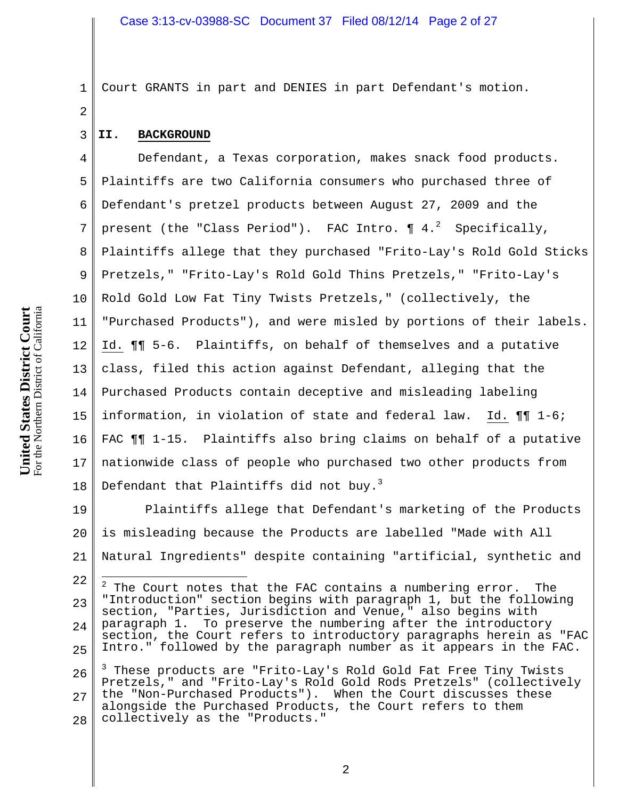| Ī<br>ļ                      |                         |
|-----------------------------|-------------------------|
|                             | District of California  |
| ر<br>يا<br>$\sum_{i=1}^{n}$ |                         |
| Ľ<br>Ĕ                      |                         |
|                             |                         |
|                             |                         |
| Jnited States I             | $\rm{orthern}$ $\rm{D}$ |
|                             |                         |
|                             | For the N               |
|                             |                         |

1 Court GRANTS in part and DENIES in part Defendant's motion.

#### **II. BACKGROUND**

2

3

4 5 6 7 8 9 10 11 12 13 14 15 16 17 18 Defendant, a Texas corporation, makes snack food products. Plaintiffs are two California consumers who purchased three of Defendant's pretzel products between August 27, 2009 and the present (the "Class Period"). FAC Intro.  $\P$   $4.^2$  Specifically, Plaintiffs allege that they purchased "Frito-Lay's Rold Gold Sticks Pretzels," "Frito-Lay's Rold Gold Thins Pretzels," "Frito-Lay's Rold Gold Low Fat Tiny Twists Pretzels," (collectively, the "Purchased Products"), and were misled by portions of their labels. Id. ¶¶ 5-6. Plaintiffs, on behalf of themselves and a putative class, filed this action against Defendant, alleging that the Purchased Products contain deceptive and misleading labeling information, in violation of state and federal law. Id. ¶¶ 1-6; FAC ¶¶ 1-15. Plaintiffs also bring claims on behalf of a putative nationwide class of people who purchased two other products from Defendant that Plaintiffs did not buy. $^3$ 

19 20 21 Plaintiffs allege that Defendant's marketing of the Products is misleading because the Products are labelled "Made with All Natural Ingredients" despite containing "artificial, synthetic and

<sup>22</sup> 23 24 25 2 The Court notes that the FAC contains a numbering error. The "Introduction" section begins with paragraph 1, but the following section, "Parties, Jurisdiction and Venue," also begins with paragraph 1. To preserve the numbering after the introductory section, the Court refers to introductory paragraphs herein as "FAC Intro." followed by the paragraph number as it appears in the FAC.  $\overline{a}$ 

<sup>26</sup> 27 28 3 These products are "Frito-Lay's Rold Gold Fat Free Tiny Twists Pretzels," and "Frito-Lay's Rold Gold Rods Pretzels" (collectively the "Non-Purchased Products"). When the Court discusses these alongside the Purchased Products, the Court refers to them collectively as the "Products."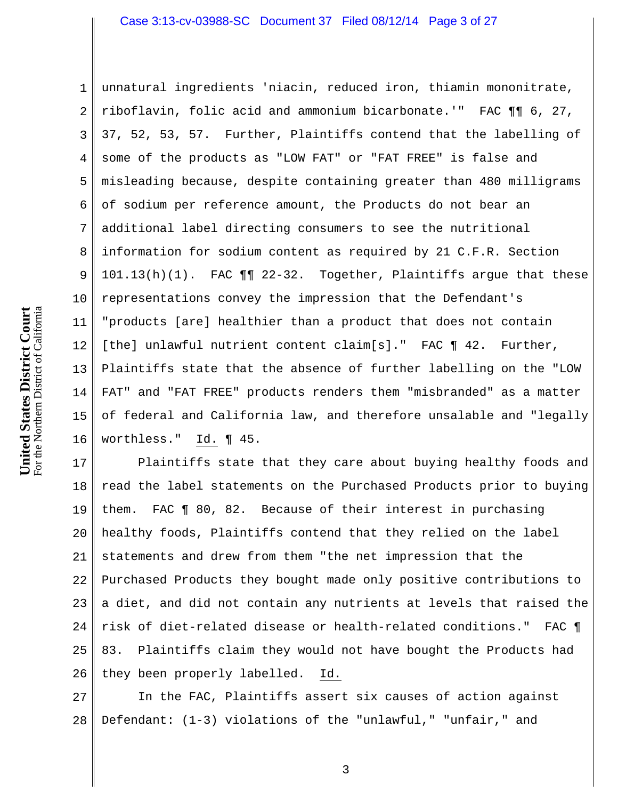1 2 3 4 5 6 7 8 9 10 11 12 13 14 15 16 unnatural ingredients 'niacin, reduced iron, thiamin mononitrate, riboflavin, folic acid and ammonium bicarbonate.'" FAC ¶¶ 6, 27, 37, 52, 53, 57. Further, Plaintiffs contend that the labelling of some of the products as "LOW FAT" or "FAT FREE" is false and misleading because, despite containing greater than 480 milligrams of sodium per reference amount, the Products do not bear an additional label directing consumers to see the nutritional information for sodium content as required by 21 C.F.R. Section 101.13(h)(1). FAC ¶¶ 22-32. Together, Plaintiffs argue that these representations convey the impression that the Defendant's "products [are] healthier than a product that does not contain [the] unlawful nutrient content claim[s]." FAC ¶ 42. Further, Plaintiffs state that the absence of further labelling on the "LOW FAT" and "FAT FREE" products renders them "misbranded" as a matter of federal and California law, and therefore unsalable and "legally worthless." Id. ¶ 45.

17 18 19 20 21 22 23 24 25 26 Plaintiffs state that they care about buying healthy foods and read the label statements on the Purchased Products prior to buying them. FAC ¶ 80, 82. Because of their interest in purchasing healthy foods, Plaintiffs contend that they relied on the label statements and drew from them "the net impression that the Purchased Products they bought made only positive contributions to a diet, and did not contain any nutrients at levels that raised the risk of diet-related disease or health-related conditions." FAC ¶ 83. Plaintiffs claim they would not have bought the Products had they been properly labelled. Id.

27 28 In the FAC, Plaintiffs assert six causes of action against Defendant: (1-3) violations of the "unlawful," "unfair," and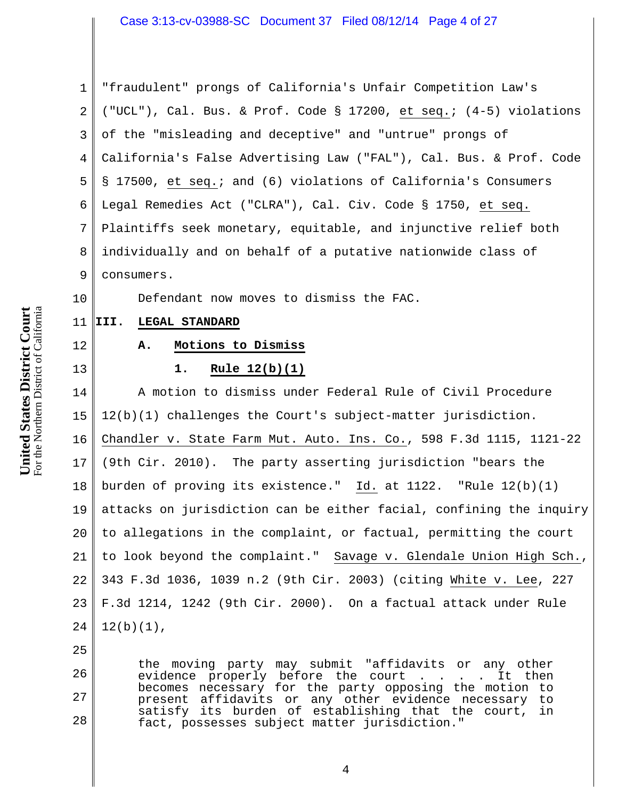1 2 3 4 5 6 7 8 9 "fraudulent" prongs of California's Unfair Competition Law's ("UCL"), Cal. Bus. & Prof. Code § 17200, et seq.; (4-5) violations of the "misleading and deceptive" and "untrue" prongs of California's False Advertising Law ("FAL"), Cal. Bus. & Prof. Code § 17500, et seq.; and (6) violations of California's Consumers Legal Remedies Act ("CLRA"), Cal. Civ. Code § 1750, et seq. Plaintiffs seek monetary, equitable, and injunctive relief both individually and on behalf of a putative nationwide class of consumers.

Defendant now moves to dismiss the FAC.

#### 11 **III. LEGAL STANDARD**

#### 12

10

# 13

# **A. Motions to Dismiss**

### **1. Rule 12(b)(1)**

14 15 16 17 18 19 20 21 22 23 24 A motion to dismiss under Federal Rule of Civil Procedure 12(b)(1) challenges the Court's subject-matter jurisdiction. Chandler v. State Farm Mut. Auto. Ins. Co., 598 F.3d 1115, 1121-22 (9th Cir. 2010). The party asserting jurisdiction "bears the burden of proving its existence." Id. at 1122. "Rule 12(b)(1) attacks on jurisdiction can be either facial, confining the inquiry to allegations in the complaint, or factual, permitting the court to look beyond the complaint." Savage v. Glendale Union High Sch., 343 F.3d 1036, 1039 n.2 (9th Cir. 2003) (citing White v. Lee, 227 F.3d 1214, 1242 (9th Cir. 2000). On a factual attack under Rule  $12(b)(1)$ ,

25

26

27

28

the moving party may submit "affidavits or any other evidence properly before the court . . . . It then becomes necessary for the party opposing the motion to present affidavits or any other evidence necessary to satisfy its burden of establishing that the court, in fact, possesses subject matter jurisdiction."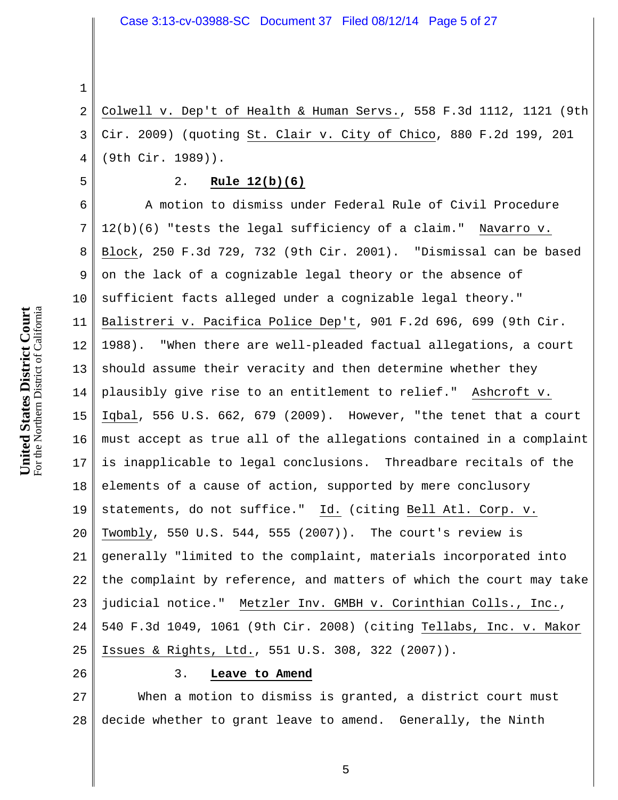2 3 4 Colwell v. Dep't of Health & Human Servs., 558 F.3d 1112, 1121 (9th Cir. 2009) (quoting St. Clair v. City of Chico, 880 F.2d 199, 201 (9th Cir. 1989)).

#### 2. **Rule 12(b)(6)**

6 7 8 9 10 11 12 13 14 15 16 17 18 19 20 21 22 23 24 25 A motion to dismiss under Federal Rule of Civil Procedure 12(b)(6) "tests the legal sufficiency of a claim." Navarro v. Block, 250 F.3d 729, 732 (9th Cir. 2001). "Dismissal can be based on the lack of a cognizable legal theory or the absence of sufficient facts alleged under a cognizable legal theory." Balistreri v. Pacifica Police Dep't, 901 F.2d 696, 699 (9th Cir. 1988). "When there are well-pleaded factual allegations, a court should assume their veracity and then determine whether they plausibly give rise to an entitlement to relief." Ashcroft v. Iqbal, 556 U.S. 662, 679 (2009). However, "the tenet that a court must accept as true all of the allegations contained in a complaint is inapplicable to legal conclusions. Threadbare recitals of the elements of a cause of action, supported by mere conclusory statements, do not suffice." Id. (citing Bell Atl. Corp. v. Twombly, 550 U.S. 544, 555 (2007)). The court's review is generally "limited to the complaint, materials incorporated into the complaint by reference, and matters of which the court may take judicial notice." Metzler Inv. GMBH v. Corinthian Colls., Inc., 540 F.3d 1049, 1061 (9th Cir. 2008) (citing Tellabs, Inc. v. Makor Issues & Rights, Ltd., 551 U.S. 308, 322 (2007)).

26

#### 3. **Leave to Amend**

27 28 When a motion to dismiss is granted, a district court must decide whether to grant leave to amend. Generally, the Ninth

**United States District Court** For the Northern District of California 1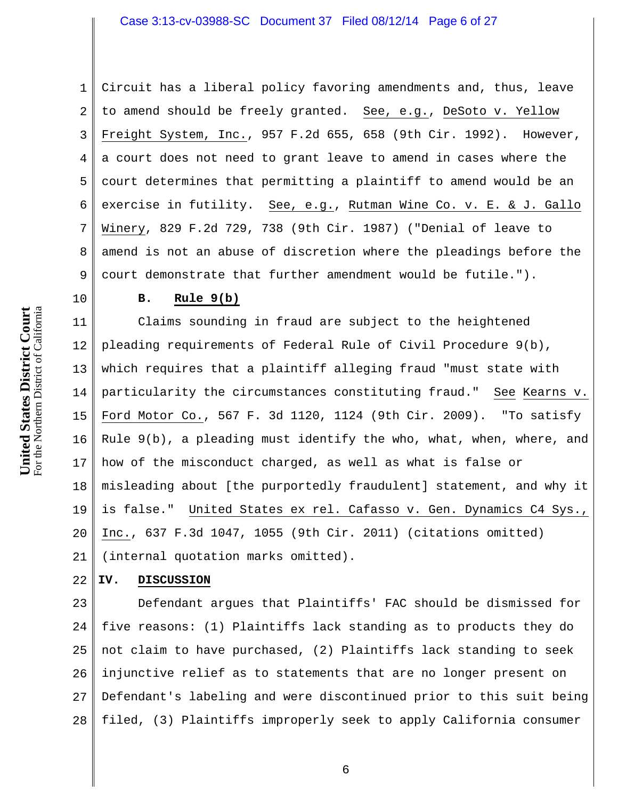1 2 3 4 5 6 7 8 9 Circuit has a liberal policy favoring amendments and, thus, leave to amend should be freely granted. See, e.g., DeSoto v. Yellow Freight System, Inc., 957 F.2d 655, 658 (9th Cir. 1992). However, a court does not need to grant leave to amend in cases where the court determines that permitting a plaintiff to amend would be an exercise in futility. See, e.g., Rutman Wine Co. v. E. & J. Gallo Winery, 829 F.2d 729, 738 (9th Cir. 1987) ("Denial of leave to amend is not an abuse of discretion where the pleadings before the court demonstrate that further amendment would be futile.").

**United States District Court** For the Northern District of California 10

### **B. Rule 9(b)**

11 12 13 14 15 16 17 18 19 20 21 Claims sounding in fraud are subject to the heightened pleading requirements of Federal Rule of Civil Procedure 9(b), which requires that a plaintiff alleging fraud "must state with particularity the circumstances constituting fraud." See Kearns v. Ford Motor Co., 567 F. 3d 1120, 1124 (9th Cir. 2009). "To satisfy Rule 9(b), a pleading must identify the who, what, when, where, and how of the misconduct charged, as well as what is false or misleading about [the purportedly fraudulent] statement, and why it is false." United States ex rel. Cafasso v. Gen. Dynamics C4 Sys., Inc., 637 F.3d 1047, 1055 (9th Cir. 2011) (citations omitted) (internal quotation marks omitted).

#### 22 **IV. DISCUSSION**

23 24 25 26 27 28 Defendant argues that Plaintiffs' FAC should be dismissed for five reasons: (1) Plaintiffs lack standing as to products they do not claim to have purchased, (2) Plaintiffs lack standing to seek injunctive relief as to statements that are no longer present on Defendant's labeling and were discontinued prior to this suit being filed, (3) Plaintiffs improperly seek to apply California consumer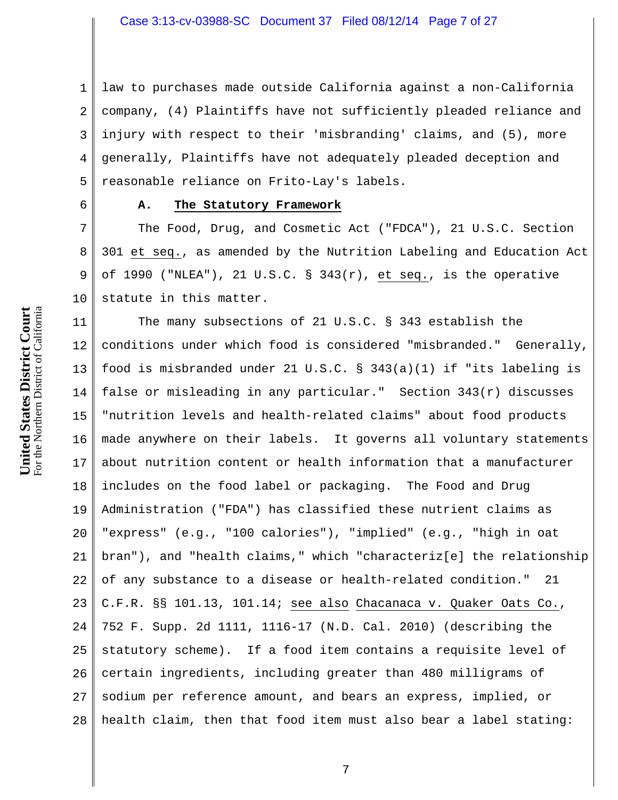1 2 3 4 5 law to purchases made outside California against a non-California company, (4) Plaintiffs have not sufficiently pleaded reliance and injury with respect to their 'misbranding' claims, and (5), more generally, Plaintiffs have not adequately pleaded deception and reasonable reliance on Frito-Lay's labels.

6

## **A. The Statutory Framework**

7 8 9 10 The Food, Drug, and Cosmetic Act ("FDCA"), 21 U.S.C. Section 301 et seq., as amended by the Nutrition Labeling and Education Act of 1990 ("NLEA"), 21 U.S.C.  $\S$  343(r), et seq., is the operative statute in this matter.

11 12 13 14 15 16 17 18 19 20 21 22 23 24 25 26 27 28 The many subsections of 21 U.S.C. § 343 establish the conditions under which food is considered "misbranded." Generally, food is misbranded under 21 U.S.C. § 343(a)(1) if "its labeling is false or misleading in any particular." Section  $343(r)$  discusses "nutrition levels and health-related claims" about food products made anywhere on their labels. It governs all voluntary statements about nutrition content or health information that a manufacturer includes on the food label or packaging. The Food and Drug Administration ("FDA") has classified these nutrient claims as "express" (e.g., "100 calories"), "implied" (e.g., "high in oat bran"), and "health claims," which "characteriz[e] the relationship of any substance to a disease or health-related condition." 21 C.F.R. §§ 101.13, 101.14; see also Chacanaca v. Quaker Oats Co., 752 F. Supp. 2d 1111, 1116-17 (N.D. Cal. 2010) (describing the statutory scheme). If a food item contains a requisite level of certain ingredients, including greater than 480 milligrams of sodium per reference amount, and bears an express, implied, or health claim, then that food item must also bear a label stating: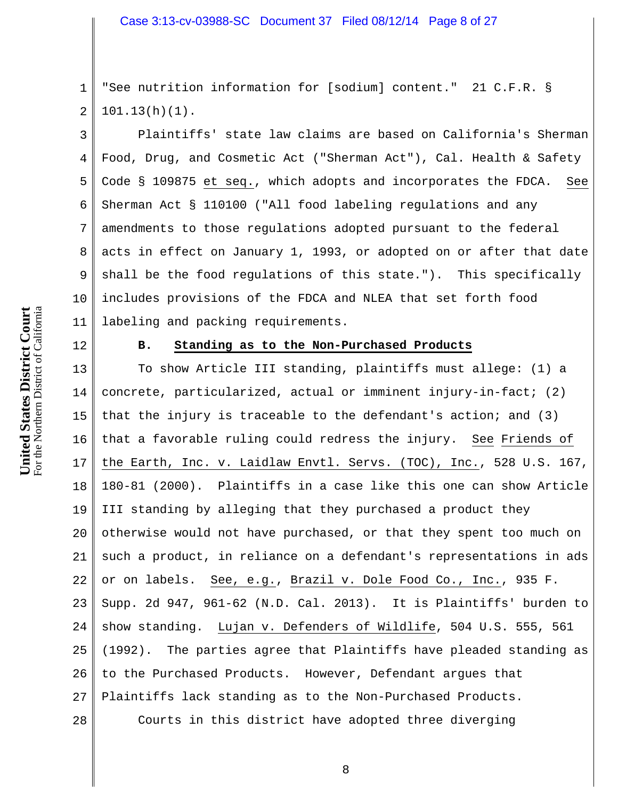1 2 "See nutrition information for [sodium] content." 21 C.F.R. §  $101.13(h)(1)$ .

Plaintiffs' state law claims are based on California's Sherman Food, Drug, and Cosmetic Act ("Sherman Act"), Cal. Health & Safety Code § 109875 et seq., which adopts and incorporates the FDCA. See Sherman Act § 110100 ("All food labeling regulations and any amendments to those regulations adopted pursuant to the federal acts in effect on January 1, 1993, or adopted on or after that date shall be the food regulations of this state."). This specifically includes provisions of the FDCA and NLEA that set forth food labeling and packing requirements.

12

3

4

5

6

7

8

9

10

11

### **B. Standing as to the Non-Purchased Products**

13 14 15 16 17 18 19 20 21 22 23 24 25 26 27 28 To show Article III standing, plaintiffs must allege: (1) a concrete, particularized, actual or imminent injury-in-fact; (2) that the injury is traceable to the defendant's action; and (3) that a favorable ruling could redress the injury. See Friends of the Earth, Inc. v. Laidlaw Envtl. Servs. (TOC), Inc., 528 U.S. 167, 180-81 (2000). Plaintiffs in a case like this one can show Article III standing by alleging that they purchased a product they otherwise would not have purchased, or that they spent too much on such a product, in reliance on a defendant's representations in ads or on labels. See, e.g., Brazil v. Dole Food Co., Inc., 935 F. Supp. 2d 947, 961-62 (N.D. Cal. 2013). It is Plaintiffs' burden to show standing. Lujan v. Defenders of Wildlife, 504 U.S. 555, 561 (1992). The parties agree that Plaintiffs have pleaded standing as to the Purchased Products. However, Defendant argues that Plaintiffs lack standing as to the Non-Purchased Products. Courts in this district have adopted three diverging

For the Northern District of California **Court** For the Northern District of California **States District United**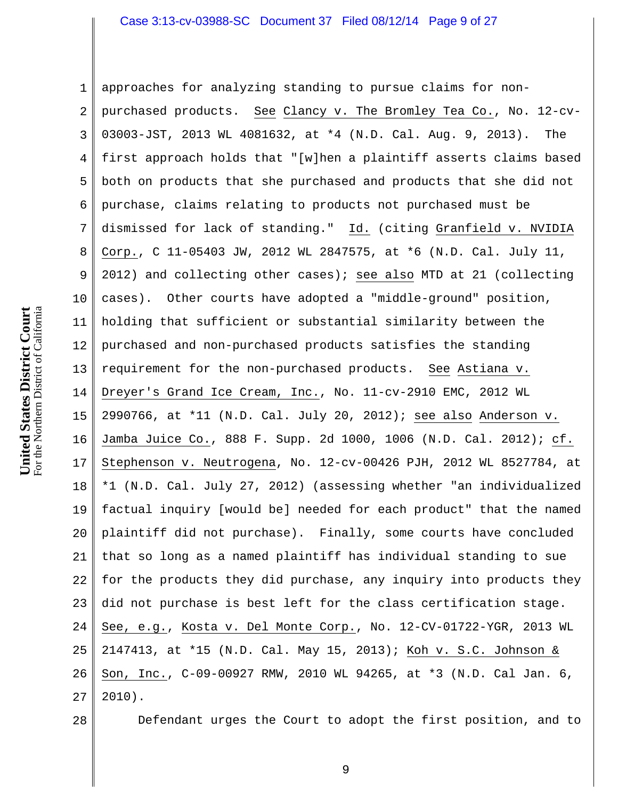### Case 3:13-cv-03988-SC Document 37 Filed 08/12/14 Page 9 of 27

1 2 3 4 5 6 7 8 9 10 11 12 13 14 15 16 17 18 19 20 21 22 23 24 25 26 27 approaches for analyzing standing to pursue claims for nonpurchased products. See Clancy v. The Bromley Tea Co., No. 12-cv-03003-JST, 2013 WL 4081632, at \*4 (N.D. Cal. Aug. 9, 2013). The first approach holds that "[w]hen a plaintiff asserts claims based both on products that she purchased and products that she did not purchase, claims relating to products not purchased must be dismissed for lack of standing." Id. (citing Granfield v. NVIDIA Corp., C 11-05403 JW, 2012 WL 2847575, at \*6 (N.D. Cal. July 11, 2012) and collecting other cases); see also MTD at 21 (collecting cases). Other courts have adopted a "middle-ground" position, holding that sufficient or substantial similarity between the purchased and non-purchased products satisfies the standing requirement for the non-purchased products. See Astiana v. Dreyer's Grand Ice Cream, Inc., No. 11-cv-2910 EMC, 2012 WL 2990766, at \*11 (N.D. Cal. July 20, 2012); see also Anderson v. Jamba Juice Co., 888 F. Supp. 2d 1000, 1006 (N.D. Cal. 2012); cf. Stephenson v. Neutrogena, No. 12-cv-00426 PJH, 2012 WL 8527784, at \*1 (N.D. Cal. July 27, 2012) (assessing whether "an individualized factual inquiry [would be] needed for each product" that the named plaintiff did not purchase). Finally, some courts have concluded that so long as a named plaintiff has individual standing to sue for the products they did purchase, any inquiry into products they did not purchase is best left for the class certification stage. See, e.g., Kosta v. Del Monte Corp., No. 12-CV-01722-YGR, 2013 WL 2147413, at \*15 (N.D. Cal. May 15, 2013); Koh v. S.C. Johnson & Son, Inc., C-09-00927 RMW, 2010 WL 94265, at \*3 (N.D. Cal Jan. 6, 2010).

28

Defendant urges the Court to adopt the first position, and to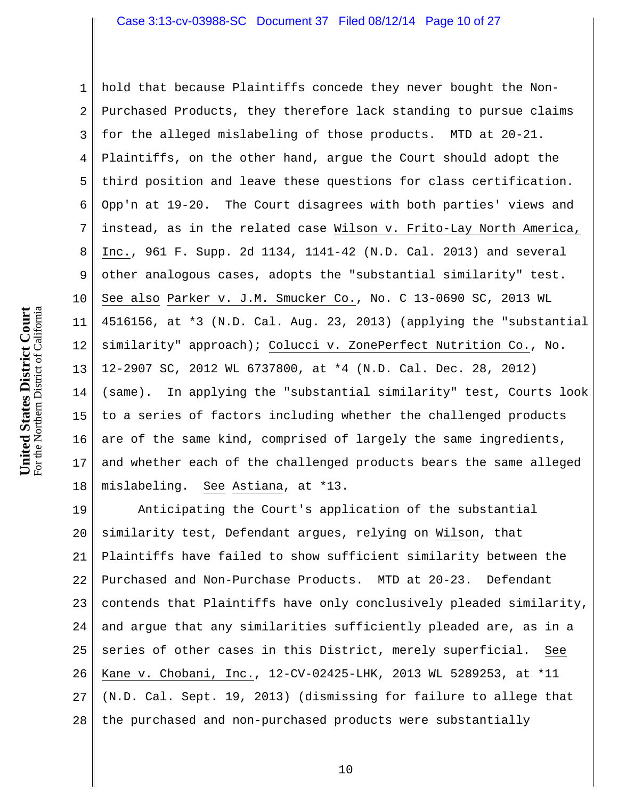1 2 3 4 5 6 7 8 9 10 11 12 13 14 15 16 17 18 hold that because Plaintiffs concede they never bought the Non-Purchased Products, they therefore lack standing to pursue claims for the alleged mislabeling of those products. MTD at 20-21. Plaintiffs, on the other hand, argue the Court should adopt the third position and leave these questions for class certification. Opp'n at 19-20. The Court disagrees with both parties' views and instead, as in the related case Wilson v. Frito-Lay North America, Inc., 961 F. Supp. 2d 1134, 1141-42 (N.D. Cal. 2013) and several other analogous cases, adopts the "substantial similarity" test. See also Parker v. J.M. Smucker Co., No. C 13-0690 SC, 2013 WL 4516156, at \*3 (N.D. Cal. Aug. 23, 2013) (applying the "substantial similarity" approach); Colucci v. ZonePerfect Nutrition Co., No. 12-2907 SC, 2012 WL 6737800, at \*4 (N.D. Cal. Dec. 28, 2012) (same). In applying the "substantial similarity" test, Courts look to a series of factors including whether the challenged products are of the same kind, comprised of largely the same ingredients, and whether each of the challenged products bears the same alleged mislabeling. See Astiana, at \*13.

19 20 21 22 23 24 25 26 27 28 Anticipating the Court's application of the substantial similarity test, Defendant argues, relying on Wilson, that Plaintiffs have failed to show sufficient similarity between the Purchased and Non-Purchase Products. MTD at 20-23. Defendant contends that Plaintiffs have only conclusively pleaded similarity, and argue that any similarities sufficiently pleaded are, as in a series of other cases in this District, merely superficial. See Kane v. Chobani, Inc., 12-CV-02425-LHK, 2013 WL 5289253, at \*11 (N.D. Cal. Sept. 19, 2013) (dismissing for failure to allege that the purchased and non-purchased products were substantially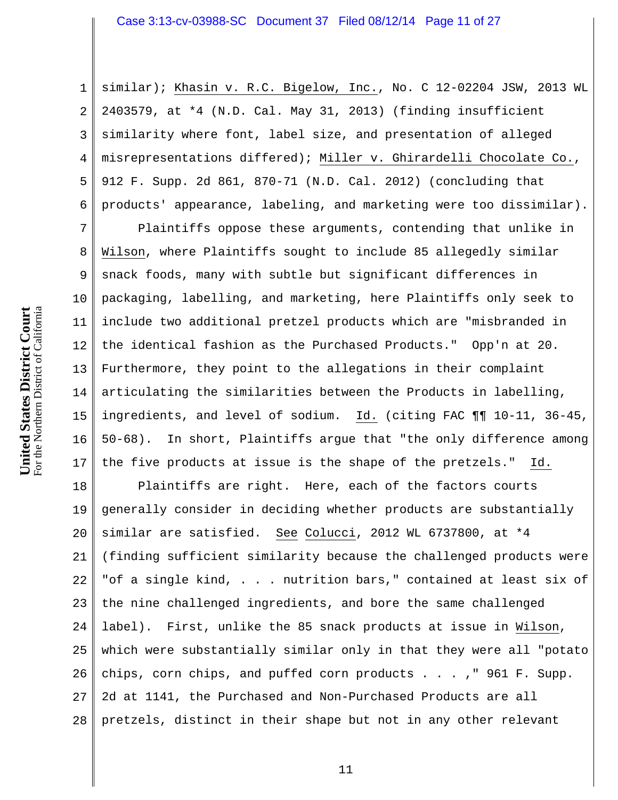1 2 3 4 5 6 similar); Khasin v. R.C. Bigelow, Inc., No. C 12-02204 JSW, 2013 WL 2403579, at \*4 (N.D. Cal. May 31, 2013) (finding insufficient similarity where font, label size, and presentation of alleged misrepresentations differed); Miller v. Ghirardelli Chocolate Co., 912 F. Supp. 2d 861, 870-71 (N.D. Cal. 2012) (concluding that products' appearance, labeling, and marketing were too dissimilar).

7 8 9 10 11 12 13 14 15 16 17 Plaintiffs oppose these arguments, contending that unlike in Wilson, where Plaintiffs sought to include 85 allegedly similar snack foods, many with subtle but significant differences in packaging, labelling, and marketing, here Plaintiffs only seek to include two additional pretzel products which are "misbranded in the identical fashion as the Purchased Products." Opp'n at 20. Furthermore, they point to the allegations in their complaint articulating the similarities between the Products in labelling, ingredients, and level of sodium. Id. (citing FAC ¶¶ 10-11, 36-45, 50-68). In short, Plaintiffs argue that "the only difference among the five products at issue is the shape of the pretzels." Id.

18 19 20 21 22 23 24 25 26 27 28 Plaintiffs are right. Here, each of the factors courts generally consider in deciding whether products are substantially similar are satisfied. See Colucci, 2012 WL 6737800, at \*4 (finding sufficient similarity because the challenged products were "of a single kind, . . . nutrition bars," contained at least six of the nine challenged ingredients, and bore the same challenged label). First, unlike the 85 snack products at issue in Wilson, which were substantially similar only in that they were all "potato chips, corn chips, and puffed corn products . . . ," 961 F. Supp. 2d at 1141, the Purchased and Non-Purchased Products are all pretzels, distinct in their shape but not in any other relevant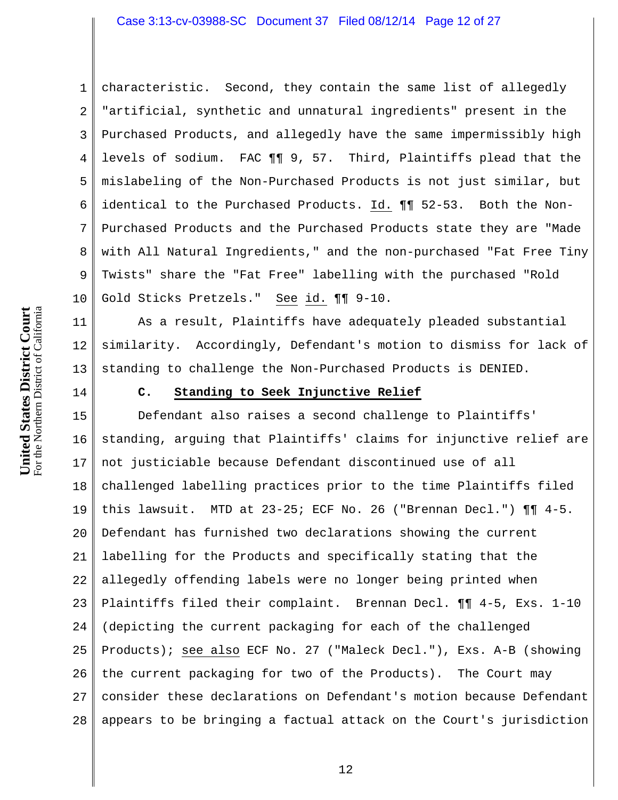1 2 3 4 5 6 7 8 9 10 characteristic. Second, they contain the same list of allegedly "artificial, synthetic and unnatural ingredients" present in the Purchased Products, and allegedly have the same impermissibly high levels of sodium. FAC ¶¶ 9, 57. Third, Plaintiffs plead that the mislabeling of the Non-Purchased Products is not just similar, but identical to the Purchased Products. Id. ¶¶ 52-53. Both the Non-Purchased Products and the Purchased Products state they are "Made with All Natural Ingredients," and the non-purchased "Fat Free Tiny Twists" share the "Fat Free" labelling with the purchased "Rold Gold Sticks Pretzels." See id. ¶¶ 9-10.

11 12 13 As a result, Plaintiffs have adequately pleaded substantial similarity. Accordingly, Defendant's motion to dismiss for lack of standing to challenge the Non-Purchased Products is DENIED.

14

#### **C. Standing to Seek Injunctive Relief**

15 16 17 18 19 20 21 22 23 24 25 26 27 28 Defendant also raises a second challenge to Plaintiffs' standing, arguing that Plaintiffs' claims for injunctive relief are not justiciable because Defendant discontinued use of all challenged labelling practices prior to the time Plaintiffs filed this lawsuit. MTD at  $23-25$ ; ECF No. 26 ("Brennan Decl.")  $\P\P$  4-5. Defendant has furnished two declarations showing the current labelling for the Products and specifically stating that the allegedly offending labels were no longer being printed when Plaintiffs filed their complaint. Brennan Decl. ¶¶ 4-5, Exs. 1-10 (depicting the current packaging for each of the challenged Products); see also ECF No. 27 ("Maleck Decl."), Exs. A-B (showing the current packaging for two of the Products). The Court may consider these declarations on Defendant's motion because Defendant appears to be bringing a factual attack on the Court's jurisdiction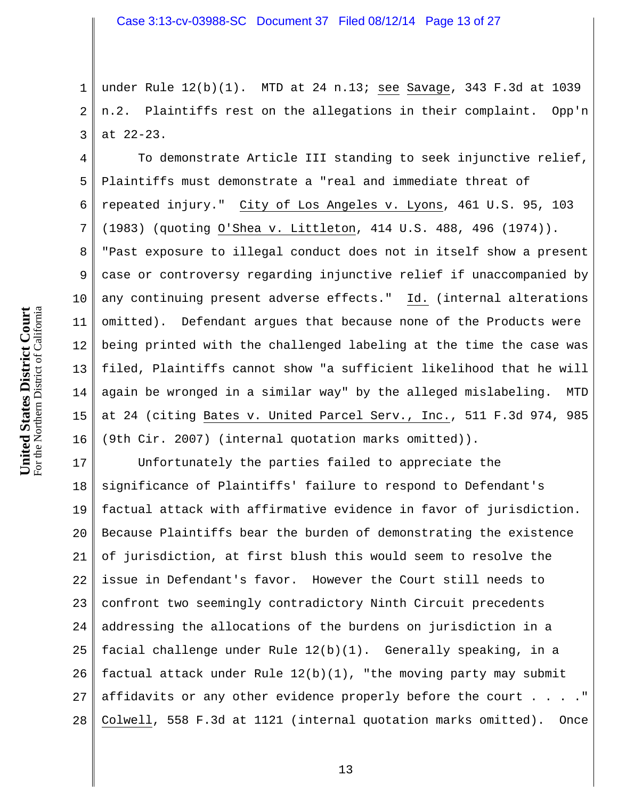1 2 3 under Rule 12(b)(1). MTD at 24 n.13; see Savage, 343 F.3d at 1039 n.2. Plaintiffs rest on the allegations in their complaint. Opp'n at 22-23.

4 5 6 7 8 9 10 11 12 13 14 15 16 To demonstrate Article III standing to seek injunctive relief, Plaintiffs must demonstrate a "real and immediate threat of repeated injury." City of Los Angeles v. Lyons, 461 U.S. 95, 103 (1983) (quoting O'Shea v. Littleton, 414 U.S. 488, 496 (1974)). "Past exposure to illegal conduct does not in itself show a present case or controversy regarding injunctive relief if unaccompanied by any continuing present adverse effects." Id. (internal alterations omitted). Defendant argues that because none of the Products were being printed with the challenged labeling at the time the case was filed, Plaintiffs cannot show "a sufficient likelihood that he will again be wronged in a similar way" by the alleged mislabeling. MTD at 24 (citing Bates v. United Parcel Serv., Inc., 511 F.3d 974, 985 (9th Cir. 2007) (internal quotation marks omitted)).

17 18 19 20 21 22 23 24 25 26 27 28 Unfortunately the parties failed to appreciate the significance of Plaintiffs' failure to respond to Defendant's factual attack with affirmative evidence in favor of jurisdiction. Because Plaintiffs bear the burden of demonstrating the existence of jurisdiction, at first blush this would seem to resolve the issue in Defendant's favor. However the Court still needs to confront two seemingly contradictory Ninth Circuit precedents addressing the allocations of the burdens on jurisdiction in a facial challenge under Rule 12(b)(1). Generally speaking, in a factual attack under Rule  $12(b)(1)$ , "the moving party may submit affidavits or any other evidence properly before the court . . . ." Colwell, 558 F.3d at 1121 (internal quotation marks omitted). Once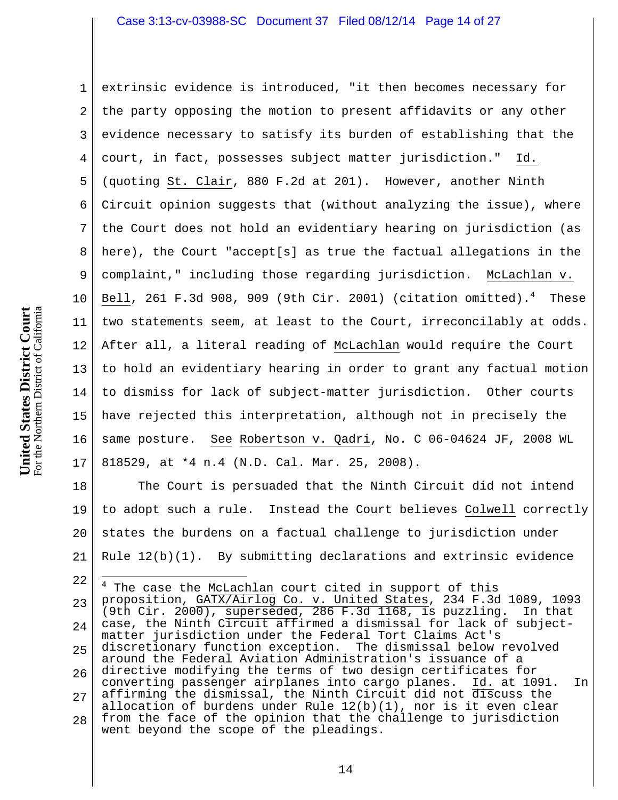1 2 3 4 5 6 7 8 9 10 11 12 13 14 15 16 17 extrinsic evidence is introduced, "it then becomes necessary for the party opposing the motion to present affidavits or any other evidence necessary to satisfy its burden of establishing that the court, in fact, possesses subject matter jurisdiction." Id. (quoting St. Clair, 880 F.2d at 201). However, another Ninth Circuit opinion suggests that (without analyzing the issue), where the Court does not hold an evidentiary hearing on jurisdiction (as here), the Court "accept[s] as true the factual allegations in the complaint," including those regarding jurisdiction. McLachlan v. Bell, 261 F.3d 908, 909 (9th Cir. 2001) (citation omitted). $^4$  These two statements seem, at least to the Court, irreconcilably at odds. After all, a literal reading of McLachlan would require the Court to hold an evidentiary hearing in order to grant any factual motion to dismiss for lack of subject-matter jurisdiction. Other courts have rejected this interpretation, although not in precisely the same posture. See Robertson v. Qadri, No. C 06-04624 JF, 2008 WL 818529, at \*4 n.4 (N.D. Cal. Mar. 25, 2008).

18 19 20 21 The Court is persuaded that the Ninth Circuit did not intend to adopt such a rule. Instead the Court believes Colwell correctly states the burdens on a factual challenge to jurisdiction under Rule  $12(b)(1)$ . By submitting declarations and extrinsic evidence

22 23 24 25 26 27 28 4 The case the McLachlan court cited in support of this proposition, GATX/Airlog Co. v. United States, 234 F.3d 1089, 1093 (9th Cir. 2000), superseded, 286 F.3d 1168, is puzzling. In that case, the Ninth Circuit affirmed a dismissal for lack of subjectmatter jurisdiction under the Federal Tort Claims Act's discretionary function exception. The dismissal below revolved around the Federal Aviation Administration's issuance of a directive modifying the terms of two design certificates for converting passenger airplanes into cargo planes. Id. at 1091. In affirming the dismissal, the Ninth Circuit did not discuss the allocation of burdens under Rule  $12(b)(1)$ , nor is it even clear from the face of the opinion that the challenge to jurisdiction went beyond the scope of the pleadings.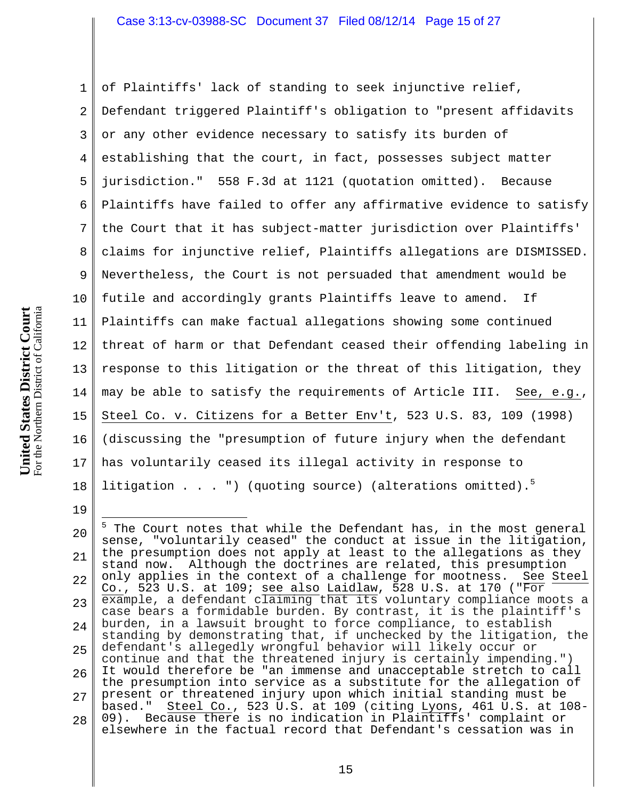1 2 3 4 5 6 7 8 9 10 11 12 13 14 15 16 17 18 of Plaintiffs' lack of standing to seek injunctive relief, Defendant triggered Plaintiff's obligation to "present affidavits or any other evidence necessary to satisfy its burden of establishing that the court, in fact, possesses subject matter jurisdiction." 558 F.3d at 1121 (quotation omitted). Because Plaintiffs have failed to offer any affirmative evidence to satisfy the Court that it has subject-matter jurisdiction over Plaintiffs' claims for injunctive relief, Plaintiffs allegations are DISMISSED. Nevertheless, the Court is not persuaded that amendment would be futile and accordingly grants Plaintiffs leave to amend. If Plaintiffs can make factual allegations showing some continued threat of harm or that Defendant ceased their offending labeling in response to this litigation or the threat of this litigation, they may be able to satisfy the requirements of Article III. See, e.g., Steel Co. v. Citizens for a Better Env't, 523 U.S. 83, 109 (1998) (discussing the "presumption of future injury when the defendant has voluntarily ceased its illegal activity in response to litigation  $\ldots$  . ") (quoting source) (alterations omitted).<sup>5</sup>

<sup>20</sup> 21 22 23 24 25 26 27 28 5 The Court notes that while the Defendant has, in the most general sense, "voluntarily ceased" the conduct at issue in the litigation, the presumption does not apply at least to the allegations as they stand now. Although the doctrines are related, this presumption only applies in the context of a challenge for mootness. See Steel Co., 523 U.S. at  $109$ ; see also Laidlaw, 528 U.S. at  $170$  ("For example, a defendant claiming that its voluntary compliance moots a case bears a formidable burden. By contrast, it is the plaintiff's burden, in a lawsuit brought to force compliance, to establish standing by demonstrating that, if unchecked by the litigation, the defendant's allegedly wrongful behavior will likely occur or continue and that the threatened injury is certainly impending.") It would therefore be "an immense and unacceptable stretch to call the presumption into service as a substitute for the allegation of present or threatened injury upon which initial standing must be based." Steel Co., 523 U.S. at 109 (citing Lyons, 461 U.S. at 108- 09). Because there is no indication in Plaintiffs' complaint or elsewhere in the factual record that Defendant's cessation was in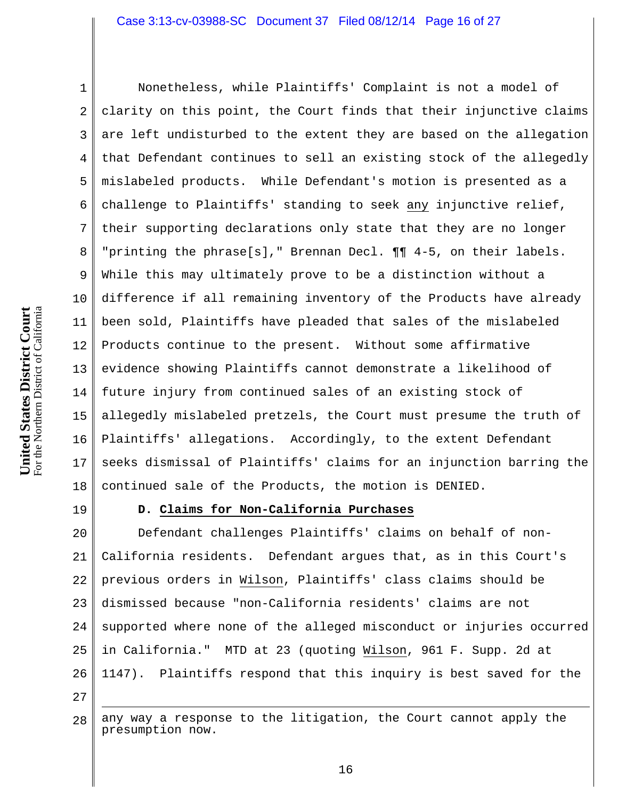For the Northern District of California **Court** For the Northern District of California **States District United** 

1 2 3 4 5 6 7 8 9 10 11 12 13 14 15 16 17 18 Nonetheless, while Plaintiffs' Complaint is not a model of clarity on this point, the Court finds that their injunctive claims are left undisturbed to the extent they are based on the allegation that Defendant continues to sell an existing stock of the allegedly mislabeled products. While Defendant's motion is presented as a challenge to Plaintiffs' standing to seek any injunctive relief, their supporting declarations only state that they are no longer "printing the phrase[s]," Brennan Decl. ¶¶ 4-5, on their labels. While this may ultimately prove to be a distinction without a difference if all remaining inventory of the Products have already been sold, Plaintiffs have pleaded that sales of the mislabeled Products continue to the present. Without some affirmative evidence showing Plaintiffs cannot demonstrate a likelihood of future injury from continued sales of an existing stock of allegedly mislabeled pretzels, the Court must presume the truth of Plaintiffs' allegations. Accordingly, to the extent Defendant seeks dismissal of Plaintiffs' claims for an injunction barring the continued sale of the Products, the motion is DENIED.

19

#### **D. Claims for Non-California Purchases**

20 21 22 23 24 25 26 Defendant challenges Plaintiffs' claims on behalf of non-California residents. Defendant argues that, as in this Court's previous orders in Wilson, Plaintiffs' class claims should be dismissed because "non-California residents' claims are not supported where none of the alleged misconduct or injuries occurred in California." MTD at 23 (quoting Wilson, 961 F. Supp. 2d at 1147). Plaintiffs respond that this inquiry is best saved for the

27

 $\overline{a}$ 

28 any way a response to the litigation, the Court cannot apply the presumption now.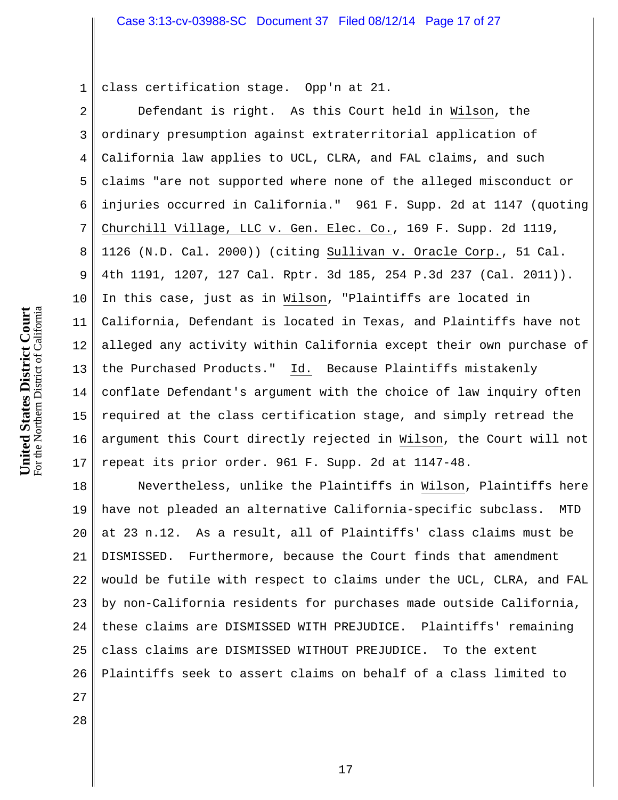1 class certification stage. Opp'n at 21.

2 3 4 5 6 7 8 9 10 11 12 13 14 15 16 17 Defendant is right. As this Court held in Wilson, the ordinary presumption against extraterritorial application of California law applies to UCL, CLRA, and FAL claims, and such claims "are not supported where none of the alleged misconduct or injuries occurred in California." 961 F. Supp. 2d at 1147 (quoting Churchill Village, LLC v. Gen. Elec. Co., 169 F. Supp. 2d 1119, 1126 (N.D. Cal. 2000)) (citing Sullivan v. Oracle Corp., 51 Cal. 4th 1191, 1207, 127 Cal. Rptr. 3d 185, 254 P.3d 237 (Cal. 2011)). In this case, just as in Wilson, "Plaintiffs are located in California, Defendant is located in Texas, and Plaintiffs have not alleged any activity within California except their own purchase of the Purchased Products." Id. Because Plaintiffs mistakenly conflate Defendant's argument with the choice of law inquiry often required at the class certification stage, and simply retread the argument this Court directly rejected in Wilson, the Court will not repeat its prior order. 961 F. Supp. 2d at 1147-48.

18 19 20 21 22 23 24 25 26 Nevertheless, unlike the Plaintiffs in Wilson, Plaintiffs here have not pleaded an alternative California-specific subclass. MTD at 23 n.12. As a result, all of Plaintiffs' class claims must be DISMISSED. Furthermore, because the Court finds that amendment would be futile with respect to claims under the UCL, CLRA, and FAL by non-California residents for purchases made outside California, these claims are DISMISSED WITH PREJUDICE. Plaintiffs' remaining class claims are DISMISSED WITHOUT PREJUDICE. To the extent Plaintiffs seek to assert claims on behalf of a class limited to

**United States District**  For the Northern District of California

**Court**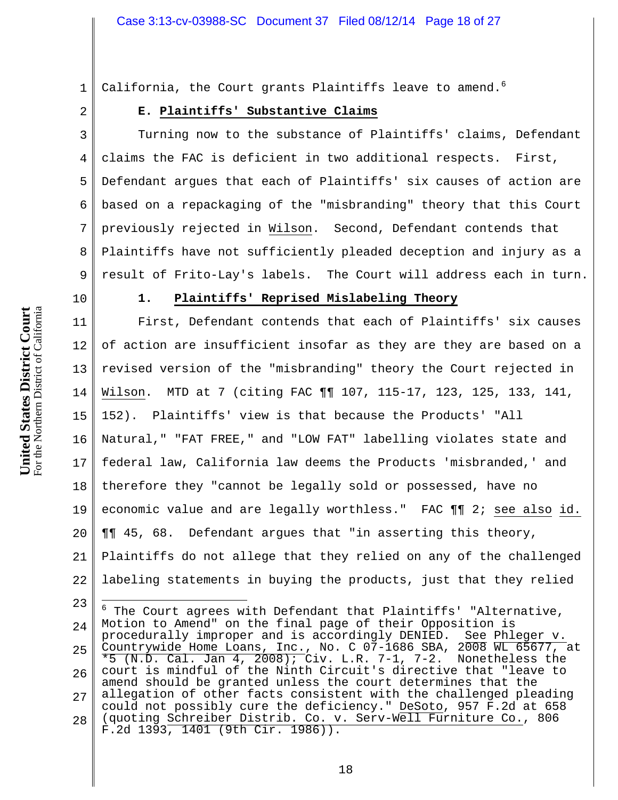1 2 California, the Court grants Plaintiffs leave to amend.<sup>6</sup>

# **E. Plaintiffs' Substantive Claims**

3 4 5 6 7 8 9 Turning now to the substance of Plaintiffs' claims, Defendant claims the FAC is deficient in two additional respects. First, Defendant argues that each of Plaintiffs' six causes of action are based on a repackaging of the "misbranding" theory that this Court previously rejected in Wilson. Second, Defendant contends that Plaintiffs have not sufficiently pleaded deception and injury as a result of Frito-Lay's labels. The Court will address each in turn.

10

# **1. Plaintiffs' Reprised Mislabeling Theory**

11 12 13 14 15 16 17 18 19 20 21 22 First, Defendant contends that each of Plaintiffs' six causes of action are insufficient insofar as they are they are based on a revised version of the "misbranding" theory the Court rejected in Wilson. MTD at 7 (citing FAC ¶¶ 107, 115-17, 123, 125, 133, 141, 152). Plaintiffs' view is that because the Products' "All Natural," "FAT FREE," and "LOW FAT" labelling violates state and federal law, California law deems the Products 'misbranded,' and therefore they "cannot be legally sold or possessed, have no economic value and are legally worthless." FAC ¶¶ 2; see also id. ¶¶ 45, 68. Defendant argues that "in asserting this theory, Plaintiffs do not allege that they relied on any of the challenged labeling statements in buying the products, just that they relied

23 24 25 26 27 28  $\overline{a}$  $^6$  The Court agrees with Defendant that Plaintiffs' "Alternative, Motion to Amend" on the final page of their Opposition is procedurally improper and is accordingly DENIED. See Phleger v. Countrywide Home Loans, Inc., No. C 07-1686 SBA, 2008 WL 65677, at  $\overline{*}$ 5 (N.D. Cal. Jan 4, 2008); Civ. L.R. 7-1, 7-2. Nonetheless the court is mindful of the Ninth Circuit's directive that "leave to amend should be granted unless the court determines that the allegation of other facts consistent with the challenged pleading could not possibly cure the deficiency." DeSoto, 957 F.2d at 658 (quoting Schreiber Distrib. Co. v. Serv-Well Furniture Co., 806 F.2d 1393, 1401 (9th Cir. 1986)).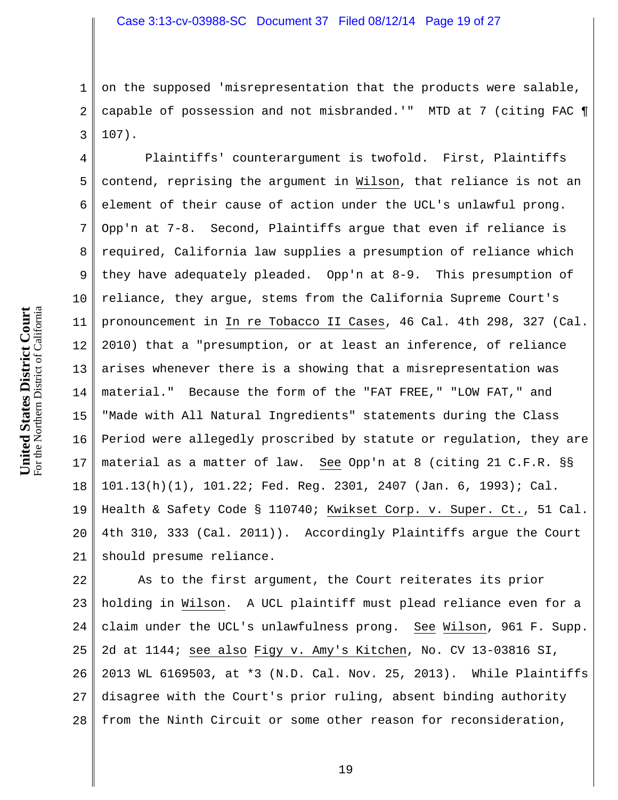1 2 3 on the supposed 'misrepresentation that the products were salable, capable of possession and not misbranded.'" MTD at 7 (citing FAC ¶ 107).

4 5 6 7 8 9 10 11 12 13 14 15 16 17 18 19 20 21 Plaintiffs' counterargument is twofold. First, Plaintiffs contend, reprising the argument in Wilson, that reliance is not an element of their cause of action under the UCL's unlawful prong. Opp'n at 7-8. Second, Plaintiffs argue that even if reliance is required, California law supplies a presumption of reliance which they have adequately pleaded. Opp'n at 8-9. This presumption of reliance, they argue, stems from the California Supreme Court's pronouncement in In re Tobacco II Cases, 46 Cal. 4th 298, 327 (Cal. 2010) that a "presumption, or at least an inference, of reliance arises whenever there is a showing that a misrepresentation was material." Because the form of the "FAT FREE," "LOW FAT," and "Made with All Natural Ingredients" statements during the Class Period were allegedly proscribed by statute or regulation, they are material as a matter of law. See Opp'n at 8 (citing 21 C.F.R. §§ 101.13(h)(1), 101.22; Fed. Reg. 2301, 2407 (Jan. 6, 1993); Cal. Health & Safety Code § 110740; Kwikset Corp. v. Super. Ct., 51 Cal. 4th 310, 333 (Cal. 2011)). Accordingly Plaintiffs argue the Court should presume reliance.

22 23 24 25 26 27 28 As to the first argument, the Court reiterates its prior holding in Wilson. A UCL plaintiff must plead reliance even for a claim under the UCL's unlawfulness prong. See Wilson, 961 F. Supp. 2d at 1144; see also Figy v. Amy's Kitchen, No. CV 13-03816 SI, 2013 WL 6169503, at \*3 (N.D. Cal. Nov. 25, 2013). While Plaintiffs disagree with the Court's prior ruling, absent binding authority from the Ninth Circuit or some other reason for reconsideration,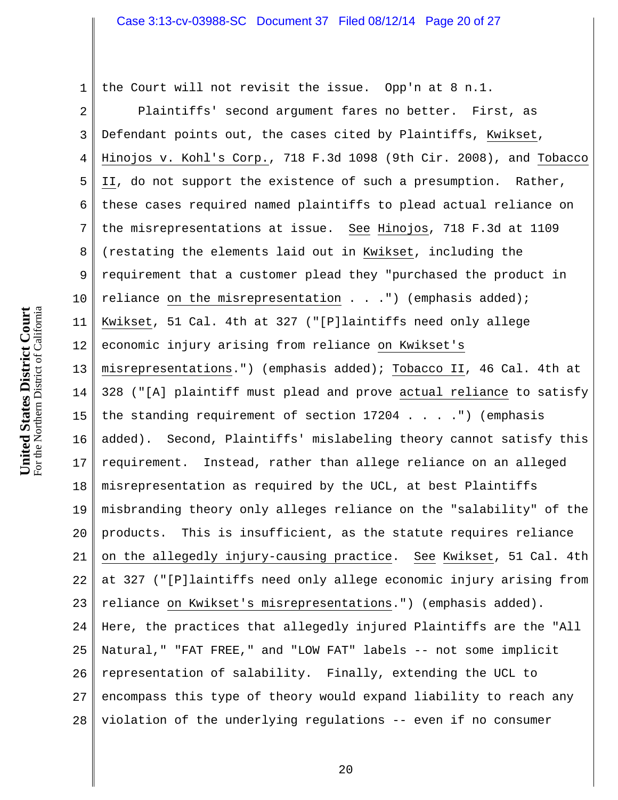the Court will not revisit the issue. Opp'n at 8 n.1.

2 3 4 5 6 7 8 9 10 11 12 13 14 15 16 17 18 19 20 21 22 23 24 25 26 27 28 Plaintiffs' second argument fares no better. First, as Defendant points out, the cases cited by Plaintiffs, Kwikset, Hinojos v. Kohl's Corp., 718 F.3d 1098 (9th Cir. 2008), and Tobacco II, do not support the existence of such a presumption. Rather, these cases required named plaintiffs to plead actual reliance on the misrepresentations at issue. See Hinojos, 718 F.3d at 1109 (restating the elements laid out in Kwikset, including the requirement that a customer plead they "purchased the product in reliance on the misrepresentation  $\ldots$  . .") (emphasis added); Kwikset, 51 Cal. 4th at 327 ("[P]laintiffs need only allege economic injury arising from reliance on Kwikset's misrepresentations.") (emphasis added); Tobacco II, 46 Cal. 4th at 328 ("[A] plaintiff must plead and prove actual reliance to satisfy the standing requirement of section  $17204$  . . . . . . (emphasis added). Second, Plaintiffs' mislabeling theory cannot satisfy this requirement. Instead, rather than allege reliance on an alleged misrepresentation as required by the UCL, at best Plaintiffs misbranding theory only alleges reliance on the "salability" of the products. This is insufficient, as the statute requires reliance on the allegedly injury-causing practice. See Kwikset, 51 Cal. 4th at 327 ("[P]laintiffs need only allege economic injury arising from reliance on Kwikset's misrepresentations.") (emphasis added). Here, the practices that allegedly injured Plaintiffs are the "All Natural," "FAT FREE," and "LOW FAT" labels -- not some implicit representation of salability. Finally, extending the UCL to encompass this type of theory would expand liability to reach any violation of the underlying regulations -- even if no consumer

1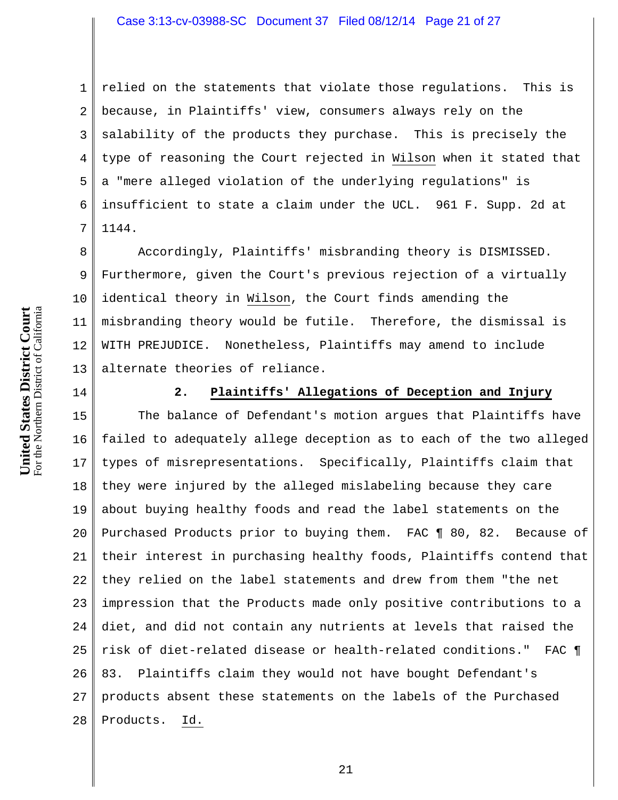1 2 3 4 5 6 7 relied on the statements that violate those regulations. This is because, in Plaintiffs' view, consumers always rely on the salability of the products they purchase. This is precisely the type of reasoning the Court rejected in Wilson when it stated that a "mere alleged violation of the underlying regulations" is insufficient to state a claim under the UCL. 961 F. Supp. 2d at 1144.

8 9 10 11 12 13 Accordingly, Plaintiffs' misbranding theory is DISMISSED. Furthermore, given the Court's previous rejection of a virtually identical theory in Wilson, the Court finds amending the misbranding theory would be futile. Therefore, the dismissal is WITH PREJUDICE. Nonetheless, Plaintiffs may amend to include alternate theories of reliance.

14

#### **2. Plaintiffs' Allegations of Deception and Injury**

15 16 17 18 19 20 21 22 23 24 25 26 27 28 The balance of Defendant's motion argues that Plaintiffs have failed to adequately allege deception as to each of the two alleged types of misrepresentations. Specifically, Plaintiffs claim that they were injured by the alleged mislabeling because they care about buying healthy foods and read the label statements on the Purchased Products prior to buying them. FAC ¶ 80, 82. Because of their interest in purchasing healthy foods, Plaintiffs contend that they relied on the label statements and drew from them "the net impression that the Products made only positive contributions to a diet, and did not contain any nutrients at levels that raised the risk of diet-related disease or health-related conditions." FAC ¶ 83. Plaintiffs claim they would not have bought Defendant's products absent these statements on the labels of the Purchased Products. Id.

**United States District Court** For the Northern District of California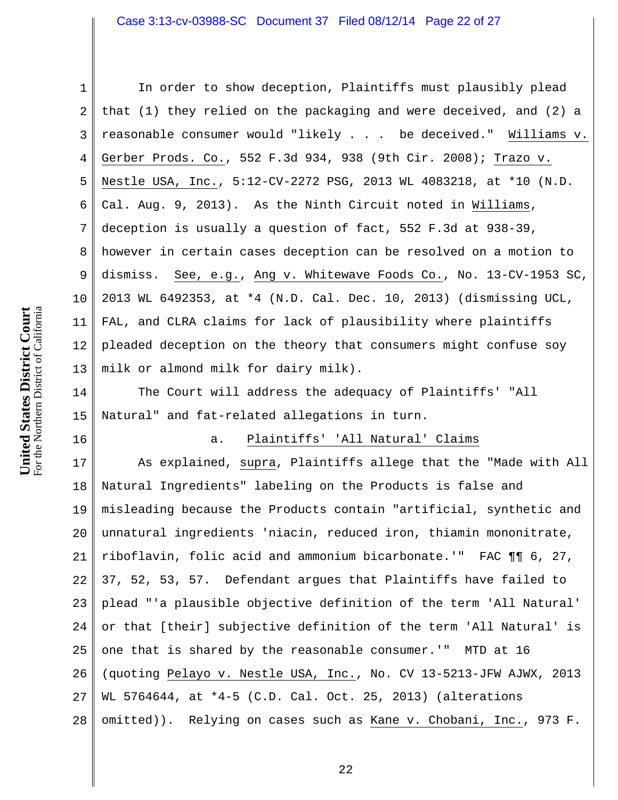For the Northern District of California **Court** For the Northern District of California **States District United** 

16

1 2 3 4 5 6 7 8 9 10 11 12 13 In order to show deception, Plaintiffs must plausibly plead that (1) they relied on the packaging and were deceived, and (2) a reasonable consumer would "likely . . . be deceived." Williams v. Gerber Prods. Co., 552 F.3d 934, 938 (9th Cir. 2008); Trazo v. Nestle USA, Inc., 5:12-CV-2272 PSG, 2013 WL 4083218, at \*10 (N.D. Cal. Aug. 9, 2013). As the Ninth Circuit noted in Williams, deception is usually a question of fact, 552 F.3d at 938-39, however in certain cases deception can be resolved on a motion to dismiss. See, e.g., Ang v. Whitewave Foods Co., No. 13-CV-1953 SC, 2013 WL 6492353, at \*4 (N.D. Cal. Dec. 10, 2013) (dismissing UCL, FAL, and CLRA claims for lack of plausibility where plaintiffs pleaded deception on the theory that consumers might confuse soy milk or almond milk for dairy milk).

14 15 The Court will address the adequacy of Plaintiffs' "All Natural" and fat-related allegations in turn.

#### a. Plaintiffs' 'All Natural' Claims

17 18 19 20 21 22 23 24 25 26 27 28 As explained, supra, Plaintiffs allege that the "Made with All Natural Ingredients" labeling on the Products is false and misleading because the Products contain "artificial, synthetic and unnatural ingredients 'niacin, reduced iron, thiamin mononitrate, riboflavin, folic acid and ammonium bicarbonate.'" FAC ¶¶ 6, 27, 37, 52, 53, 57. Defendant argues that Plaintiffs have failed to plead "'a plausible objective definition of the term 'All Natural' or that [their] subjective definition of the term 'All Natural' is one that is shared by the reasonable consumer.'" MTD at 16 (quoting Pelayo v. Nestle USA, Inc., No. CV 13-5213-JFW AJWX, 2013 WL 5764644, at \*4-5 (C.D. Cal. Oct. 25, 2013) (alterations omitted)). Relying on cases such as Kane v. Chobani, Inc., 973 F.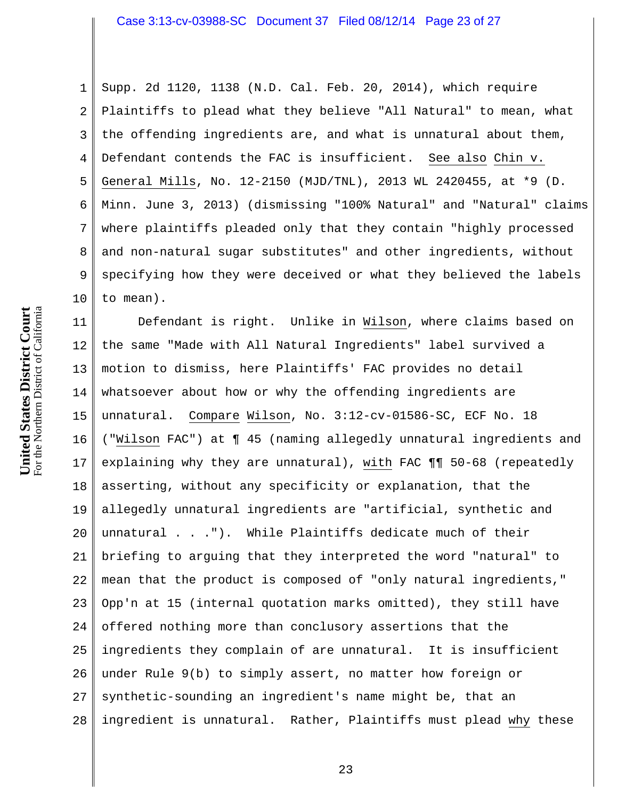1 2 3 4 5 6 7 8 9 10 Supp. 2d 1120, 1138 (N.D. Cal. Feb. 20, 2014), which require Plaintiffs to plead what they believe "All Natural" to mean, what the offending ingredients are, and what is unnatural about them, Defendant contends the FAC is insufficient. See also Chin v. General Mills, No. 12-2150 (MJD/TNL), 2013 WL 2420455, at \*9 (D. Minn. June 3, 2013) (dismissing "100% Natural" and "Natural" claims where plaintiffs pleaded only that they contain "highly processed and non-natural sugar substitutes" and other ingredients, without specifying how they were deceived or what they believed the labels to mean).

11 12 13 14 15 16 17 18 19 20 21 22 23 24 25 26 27 28 Defendant is right. Unlike in Wilson, where claims based on the same "Made with All Natural Ingredients" label survived a motion to dismiss, here Plaintiffs' FAC provides no detail whatsoever about how or why the offending ingredients are unnatural. Compare Wilson, No. 3:12-cv-01586-SC, ECF No. 18 ("Wilson FAC") at ¶ 45 (naming allegedly unnatural ingredients and explaining why they are unnatural), with FAC ¶¶ 50-68 (repeatedly asserting, without any specificity or explanation, that the allegedly unnatural ingredients are "artificial, synthetic and unnatural . . ."). While Plaintiffs dedicate much of their briefing to arguing that they interpreted the word "natural" to mean that the product is composed of "only natural ingredients," Opp'n at 15 (internal quotation marks omitted), they still have offered nothing more than conclusory assertions that the ingredients they complain of are unnatural. It is insufficient under Rule 9(b) to simply assert, no matter how foreign or synthetic-sounding an ingredient's name might be, that an ingredient is unnatural. Rather, Plaintiffs must plead why these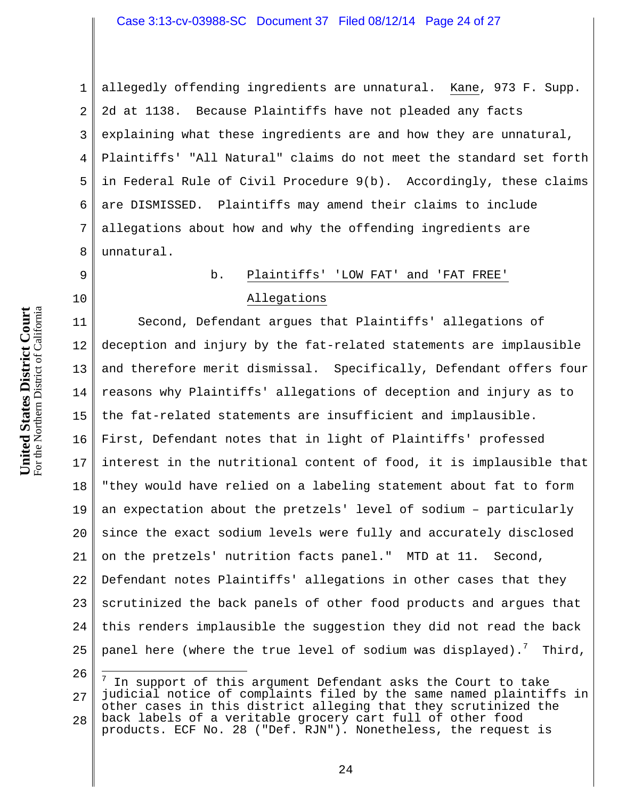1 2 3 4 5 6 7 8 allegedly offending ingredients are unnatural. Kane, 973 F. Supp. 2d at 1138. Because Plaintiffs have not pleaded any facts explaining what these ingredients are and how they are unnatural, Plaintiffs' "All Natural" claims do not meet the standard set forth in Federal Rule of Civil Procedure 9(b). Accordingly, these claims are DISMISSED. Plaintiffs may amend their claims to include allegations about how and why the offending ingredients are unnatural.

#### b. Plaintiffs' 'LOW FAT' and 'FAT FREE'

# Allegations

11 12 13 14 15 16 17 18 19 20 21 22 23 24 25 Second, Defendant argues that Plaintiffs' allegations of deception and injury by the fat-related statements are implausible and therefore merit dismissal. Specifically, Defendant offers four reasons why Plaintiffs' allegations of deception and injury as to the fat-related statements are insufficient and implausible. First, Defendant notes that in light of Plaintiffs' professed interest in the nutritional content of food, it is implausible that "they would have relied on a labeling statement about fat to form an expectation about the pretzels' level of sodium – particularly since the exact sodium levels were fully and accurately disclosed on the pretzels' nutrition facts panel." MTD at 11. Second, Defendant notes Plaintiffs' allegations in other cases that they scrutinized the back panels of other food products and argues that this renders implausible the suggestion they did not read the back panel here (where the true level of sodium was displayed).<sup>7</sup> Third,

26

 $\overline{a}$ 

9

<sup>27</sup> 28 7 In support of this argument Defendant asks the Court to take judicial notice of complaints filed by the same named plaintiffs in other cases in this district alleging that they scrutinized the back labels of a veritable grocery cart full of other food products. ECF No. 28 ("Def. RJN"). Nonetheless, the request is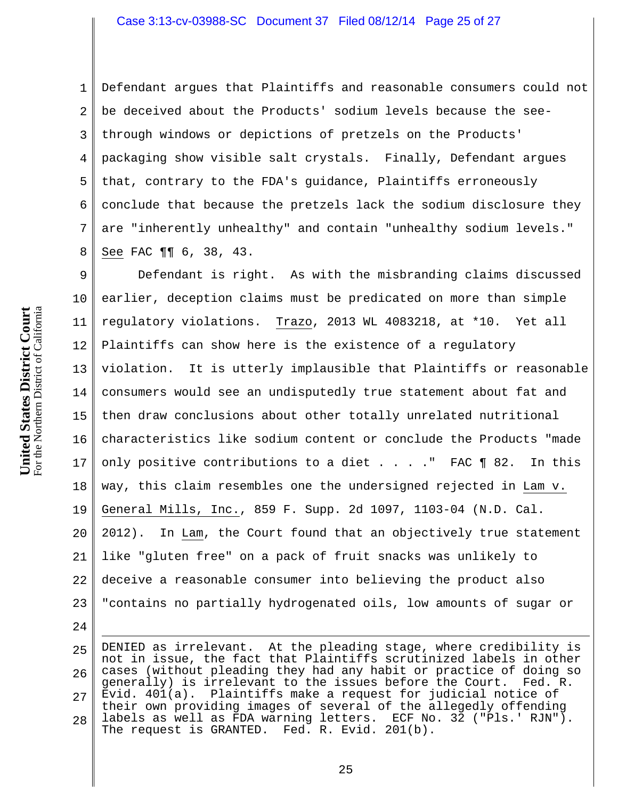1 2 3 4 5 6 7 8 Defendant argues that Plaintiffs and reasonable consumers could not be deceived about the Products' sodium levels because the seethrough windows or depictions of pretzels on the Products' packaging show visible salt crystals. Finally, Defendant argues that, contrary to the FDA's guidance, Plaintiffs erroneously conclude that because the pretzels lack the sodium disclosure they are "inherently unhealthy" and contain "unhealthy sodium levels." See FAC ¶¶ 6, 38, 43.

9 10 11 12 13 14 15 16 17 18 19 20 21 22 23 Defendant is right. As with the misbranding claims discussed earlier, deception claims must be predicated on more than simple regulatory violations. Trazo, 2013 WL 4083218, at \*10. Yet all Plaintiffs can show here is the existence of a regulatory violation. It is utterly implausible that Plaintiffs or reasonable consumers would see an undisputedly true statement about fat and then draw conclusions about other totally unrelated nutritional characteristics like sodium content or conclude the Products "made only positive contributions to a diet  $\ldots$  . . The FAC  $\P$  82. In this way, this claim resembles one the undersigned rejected in Lam v. General Mills, Inc., 859 F. Supp. 2d 1097, 1103-04 (N.D. Cal. 2012). In Lam, the Court found that an objectively true statement like "gluten free" on a pack of fruit snacks was unlikely to deceive a reasonable consumer into believing the product also "contains no partially hydrogenated oils, low amounts of sugar or

25 26 27 28  $\overline{a}$ DENIED as irrelevant. At the pleading stage, where credibility is not in issue, the fact that Plaintiffs scrutinized labels in other cases (without pleading they had any habit or practice of doing so generally) is irrelevant to the issues before the Court. Fed. R. Evid. 401(a). Plaintiffs make a request for judicial notice of their own providing images of several of the allegedly offending labels as well as FDA warning letters. ECF No. 32 ("Pls.' RJN"). The request is GRANTED. Fed. R. Evid. 201(b).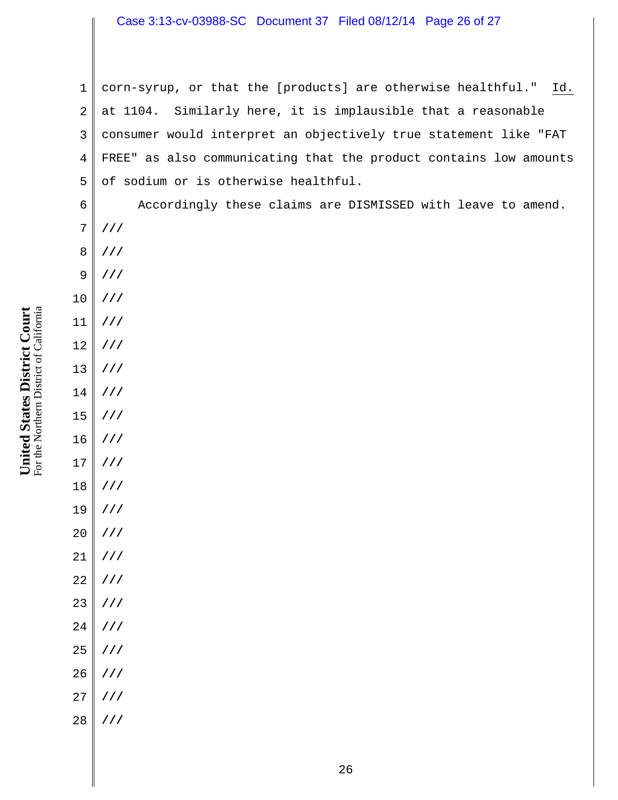### Case 3:13-cv-03988-SC Document 37 Filed 08/12/14 Page 26 of 27

1 2 3 4 5 corn-syrup, or that the [products] are otherwise healthful." Id. at 1104. Similarly here, it is implausible that a reasonable consumer would interpret an objectively true statement like "FAT FREE" as also communicating that the product contains low amounts of sodium or is otherwise healthful.

Accordingly these claims are DISMISSED with leave to amend. **///** 

- 8 **///**
- 9 **///**
- 10 **///**

6

7

- 11
- 12 **///**

**///** 

- 
- 13 **///**
- 14 **///**
- 15 **///**
- 16 **///**
- 17 **///**
- 18 **///**
- 19 **///**
- 
- 20 **///**
- 21 **///**
- 22 **///**
- 23 **///**
- 24 **///**
- 25 **///**
- 26 **///**
- 
- 27 **///**
- 28 **///**